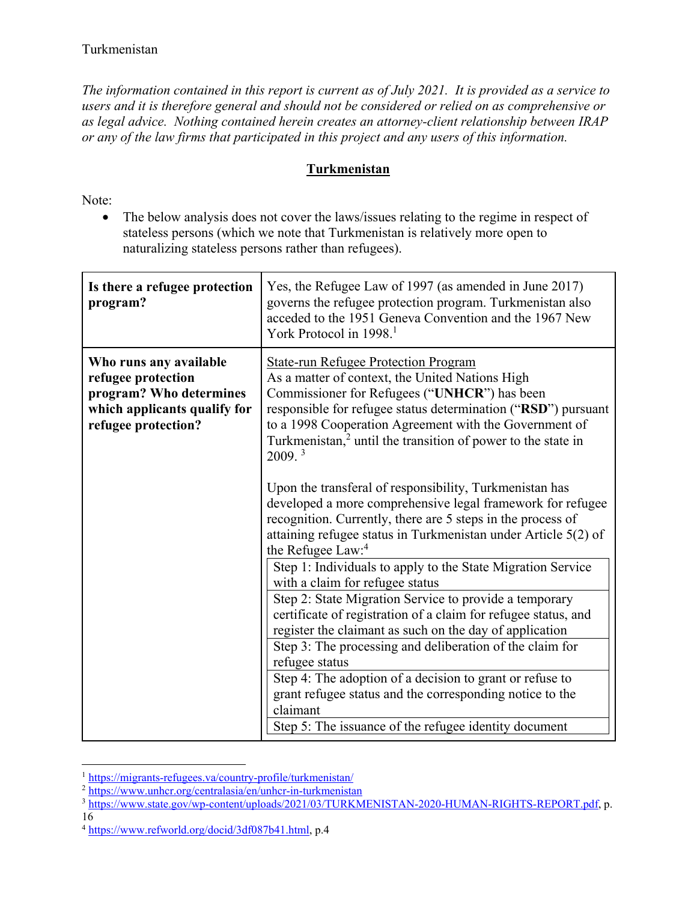*The information contained in this report is current as of July 2021. It is provided as a service to users and it is therefore general and should not be considered or relied on as comprehensive or as legal advice. Nothing contained herein creates an attorney-client relationship between IRAP or any of the law firms that participated in this project and any users of this information.* 

## **Turkmenistan**

Note:

• The below analysis does not cover the laws/issues relating to the regime in respect of stateless persons (which we note that Turkmenistan is relatively more open to naturalizing stateless persons rather than refugees).

| Is there a refugee protection<br>program?                                                                                      | Yes, the Refugee Law of 1997 (as amended in June 2017)<br>governs the refugee protection program. Turkmenistan also<br>acceded to the 1951 Geneva Convention and the 1967 New<br>York Protocol in 1998. <sup>1</sup>                                                                                                                                                                                                                                                                                                                                             |
|--------------------------------------------------------------------------------------------------------------------------------|------------------------------------------------------------------------------------------------------------------------------------------------------------------------------------------------------------------------------------------------------------------------------------------------------------------------------------------------------------------------------------------------------------------------------------------------------------------------------------------------------------------------------------------------------------------|
| Who runs any available<br>refugee protection<br>program? Who determines<br>which applicants qualify for<br>refugee protection? | <b>State-run Refugee Protection Program</b><br>As a matter of context, the United Nations High<br>Commissioner for Refugees ("UNHCR") has been<br>responsible for refugee status determination ("RSD") pursuant<br>to a 1998 Cooperation Agreement with the Government of<br>Turkmenistan, <sup>2</sup> until the transition of power to the state in<br>2009.3                                                                                                                                                                                                  |
|                                                                                                                                | Upon the transferal of responsibility, Turkmenistan has<br>developed a more comprehensive legal framework for refugee<br>recognition. Currently, there are 5 steps in the process of<br>attaining refugee status in Turkmenistan under Article 5(2) of<br>the Refugee Law: <sup>4</sup>                                                                                                                                                                                                                                                                          |
|                                                                                                                                | Step 1: Individuals to apply to the State Migration Service<br>with a claim for refugee status<br>Step 2: State Migration Service to provide a temporary<br>certificate of registration of a claim for refugee status, and<br>register the claimant as such on the day of application<br>Step 3: The processing and deliberation of the claim for<br>refugee status<br>Step 4: The adoption of a decision to grant or refuse to<br>grant refugee status and the corresponding notice to the<br>claimant<br>Step 5: The issuance of the refugee identity document |

 $\overline{a}$ <sup>1</sup> https://migrants-refugees.va/country-profile/turkmenistan/

16

<sup>2</sup> https://www.unhcr.org/centralasia/en/unhcr-in-turkmenistan

<sup>&</sup>lt;sup>3</sup> https://www.state.gov/wp-content/uploads/2021/03/TURKMENISTAN-2020-HUMAN-RIGHTS-REPORT.pdf, p.

<sup>4</sup> https://www.refworld.org/docid/3df087b41.html, p.4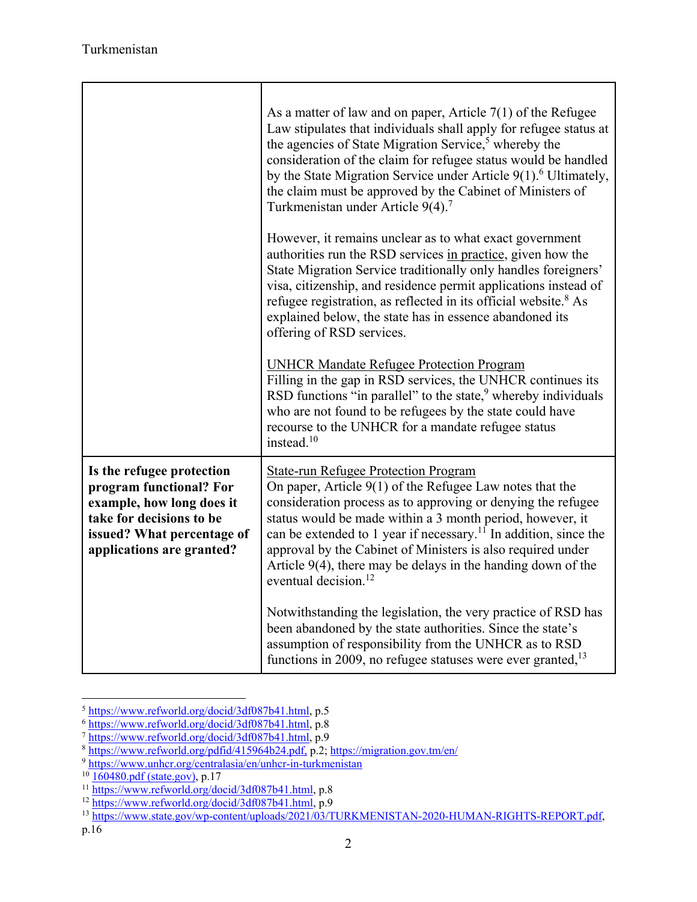|                                                                                                                                                                          | As a matter of law and on paper, Article $7(1)$ of the Refugee<br>Law stipulates that individuals shall apply for refugee status at<br>the agencies of State Migration Service, <sup>5</sup> whereby the<br>consideration of the claim for refugee status would be handled<br>by the State Migration Service under Article $9(1)$ <sup>6</sup> Ultimately,<br>the claim must be approved by the Cabinet of Ministers of<br>Turkmenistan under Article 9(4). <sup>7</sup><br>However, it remains unclear as to what exact government<br>authorities run the RSD services in practice, given how the<br>State Migration Service traditionally only handles foreigners'<br>visa, citizenship, and residence permit applications instead of<br>refugee registration, as reflected in its official website. <sup>8</sup> As<br>explained below, the state has in essence abandoned its |
|--------------------------------------------------------------------------------------------------------------------------------------------------------------------------|-----------------------------------------------------------------------------------------------------------------------------------------------------------------------------------------------------------------------------------------------------------------------------------------------------------------------------------------------------------------------------------------------------------------------------------------------------------------------------------------------------------------------------------------------------------------------------------------------------------------------------------------------------------------------------------------------------------------------------------------------------------------------------------------------------------------------------------------------------------------------------------|
|                                                                                                                                                                          | offering of RSD services.<br><b>UNHCR Mandate Refugee Protection Program</b><br>Filling in the gap in RSD services, the UNHCR continues its<br>RSD functions "in parallel" to the state, $9$ whereby individuals<br>who are not found to be refugees by the state could have<br>recourse to the UNHCR for a mandate refugee status<br>instead. $10$                                                                                                                                                                                                                                                                                                                                                                                                                                                                                                                               |
| Is the refugee protection<br>program functional? For<br>example, how long does it<br>take for decisions to be<br>issued? What percentage of<br>applications are granted? | <b>State-run Refugee Protection Program</b><br>On paper, Article $9(1)$ of the Refugee Law notes that the<br>consideration process as to approving or denying the refugee<br>status would be made within a 3 month period, however, it<br>can be extended to 1 year if necessary. <sup>11</sup> In addition, since the<br>approval by the Cabinet of Ministers is also required under<br>Article $9(4)$ , there may be delays in the handing down of the<br>eventual decision. <sup>12</sup>                                                                                                                                                                                                                                                                                                                                                                                      |
|                                                                                                                                                                          | Notwithstanding the legislation, the very practice of RSD has<br>been abandoned by the state authorities. Since the state's<br>assumption of responsibility from the UNHCR as to RSD<br>functions in 2009, no refugee statuses were ever granted, $13$                                                                                                                                                                                                                                                                                                                                                                                                                                                                                                                                                                                                                            |

<sup>&</sup>lt;sup>5</sup> https://www.refworld.org/docid/3df087b41.html, p.5

 $\frac{6 \frac{\text{https://www.refworld.org/docid/3df087b41.html}}{\text{https://www.refworld.org/docid/3df087b41.html}}$ , p.8<br>  $\frac{7 \text{https://www.refworld.org/docid/3df087b41.html}}{\text{https://www.refworld.org/plotid/415964b24.pdf}}$ , p.9

<sup>9</sup> https://www.unhcr.org/centralasia/en/unhcr-in-turkmenistan

<sup>&</sup>lt;sup>10</sup> 160480.pdf (state.gov), p.17<br>
<sup>10</sup> 160480.pdf (state.gov), p.17<br>
<sup>11</sup> https://www.refworld.org/docid/3df087b41.html, p.8<br>
<sup>12</sup> https://www.refworld.org/docid/3df087b41.html, p.9<br>
<sup>13</sup> https://www.state.gov/wp-content/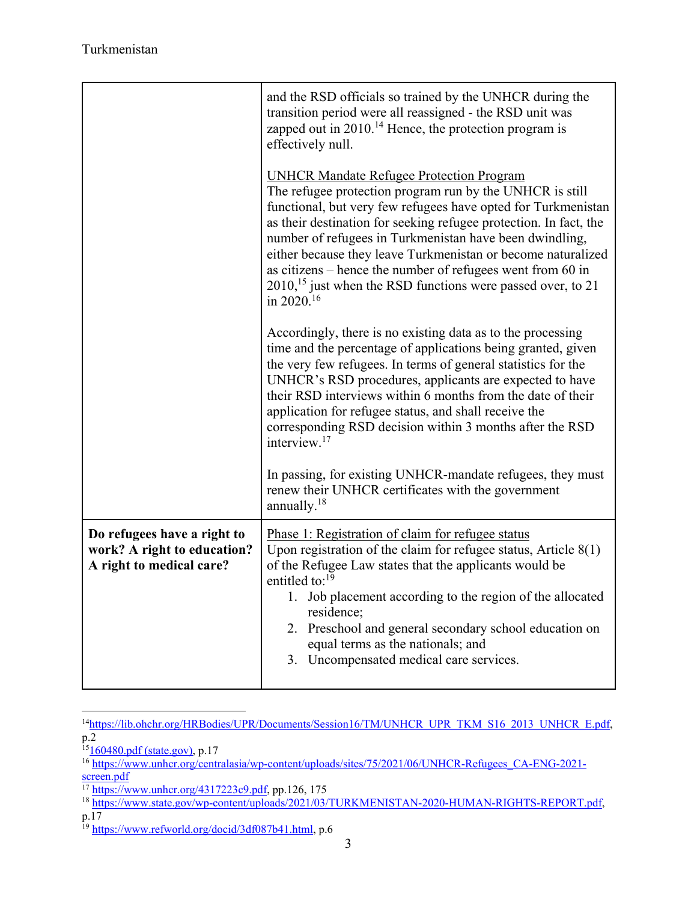|                                                                                        | and the RSD officials so trained by the UNHCR during the<br>transition period were all reassigned - the RSD unit was<br>zapped out in $2010$ . <sup>14</sup> Hence, the protection program is<br>effectively null.                                                                                                                                                                                                                                                                                                                              |
|----------------------------------------------------------------------------------------|-------------------------------------------------------------------------------------------------------------------------------------------------------------------------------------------------------------------------------------------------------------------------------------------------------------------------------------------------------------------------------------------------------------------------------------------------------------------------------------------------------------------------------------------------|
|                                                                                        | <b>UNHCR Mandate Refugee Protection Program</b><br>The refugee protection program run by the UNHCR is still<br>functional, but very few refugees have opted for Turkmenistan<br>as their destination for seeking refugee protection. In fact, the<br>number of refugees in Turkmenistan have been dwindling,<br>either because they leave Turkmenistan or become naturalized<br>as citizens – hence the number of refugees went from 60 in<br>2010, <sup>15</sup> just when the RSD functions were passed over, to 21<br>in 2020. <sup>16</sup> |
|                                                                                        | Accordingly, there is no existing data as to the processing<br>time and the percentage of applications being granted, given<br>the very few refugees. In terms of general statistics for the<br>UNHCR's RSD procedures, applicants are expected to have<br>their RSD interviews within 6 months from the date of their<br>application for refugee status, and shall receive the<br>corresponding RSD decision within 3 months after the RSD<br>interview. <sup>17</sup>                                                                         |
|                                                                                        | In passing, for existing UNHCR-mandate refugees, they must<br>renew their UNHCR certificates with the government<br>annually. <sup>18</sup>                                                                                                                                                                                                                                                                                                                                                                                                     |
| Do refugees have a right to<br>work? A right to education?<br>A right to medical care? | Phase 1: Registration of claim for refugee status<br>Upon registration of the claim for refugee status, Article 8(1)<br>of the Refugee Law states that the applicants would be<br>entitled to: <sup>19</sup><br>1. Job placement according to the region of the allocated<br>residence;<br>2. Preschool and general secondary school education on<br>equal terms as the nationals; and<br>3. Uncompensated medical care services.                                                                                                               |

 $\overline{a}$ <sup>14</sup>https://lib.ohchr.org/HRBodies/UPR/Documents/Session16/TM/UNHCR\_UPR\_TKM\_S16\_2013\_UNHCR\_E.pdf, p.2

p.17

<sup>&</sup>lt;sup>15</sup>160480.pdf (state.gov), p.17<br><sup>16</sup> https://www.unhcr.org/centralasia/wp-content/uploads/sites/75/2021/06/UNHCR-Refugees\_CA-ENG-2021screen.pdf

<sup>&</sup>lt;sup>17</sup> https://www.unhcr.org/4317223c9.pdf, pp.126, 175<br><sup>18</sup> https://www.state.gov/wp-content/uploads/2021/03/TURKMENISTAN-2020-HUMAN-RIGHTS-REPORT.pdf,

<sup>&</sup>lt;sup>19</sup> https://www.refworld.org/docid/3df087b41.html, p.6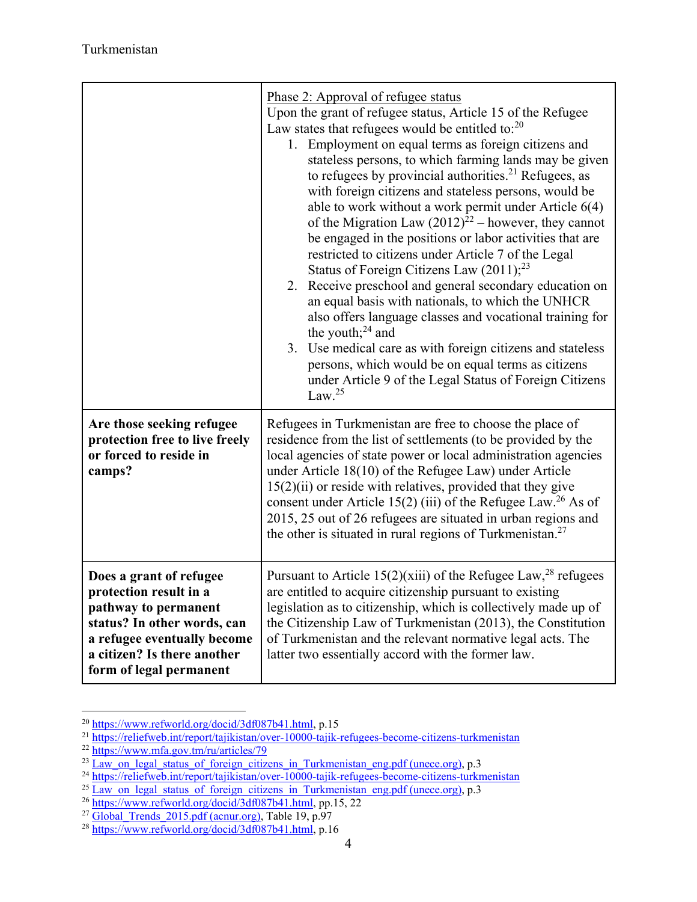|                                                                                                                                                                                                   | <u>Phase 2: Approval of refugee status</u><br>Upon the grant of refugee status, Article 15 of the Refugee<br>Law states that refugees would be entitled to: $20$<br>1. Employment on equal terms as foreign citizens and<br>stateless persons, to which farming lands may be given<br>to refugees by provincial authorities. <sup>21</sup> Refugees, as<br>with foreign citizens and stateless persons, would be<br>able to work without a work permit under Article $6(4)$<br>of the Migration Law $(2012)^{22}$ – however, they cannot<br>be engaged in the positions or labor activities that are<br>restricted to citizens under Article 7 of the Legal<br>Status of Foreign Citizens Law $(2011);^{23}$<br>2. Receive preschool and general secondary education on<br>an equal basis with nationals, to which the UNHCR<br>also offers language classes and vocational training for<br>the youth; $^{24}$ and<br>3. Use medical care as with foreign citizens and stateless<br>persons, which would be on equal terms as citizens<br>under Article 9 of the Legal Status of Foreign Citizens<br>Law. $^{25}$ |
|---------------------------------------------------------------------------------------------------------------------------------------------------------------------------------------------------|-------------------------------------------------------------------------------------------------------------------------------------------------------------------------------------------------------------------------------------------------------------------------------------------------------------------------------------------------------------------------------------------------------------------------------------------------------------------------------------------------------------------------------------------------------------------------------------------------------------------------------------------------------------------------------------------------------------------------------------------------------------------------------------------------------------------------------------------------------------------------------------------------------------------------------------------------------------------------------------------------------------------------------------------------------------------------------------------------------------------|
| Are those seeking refugee<br>protection free to live freely<br>or forced to reside in<br>camps?                                                                                                   | Refugees in Turkmenistan are free to choose the place of<br>residence from the list of settlements (to be provided by the<br>local agencies of state power or local administration agencies<br>under Article $18(10)$ of the Refugee Law) under Article<br>$15(2)(ii)$ or reside with relatives, provided that they give<br>consent under Article 15(2) (iii) of the Refugee Law. <sup>26</sup> As of<br>2015, 25 out of 26 refugees are situated in urban regions and<br>the other is situated in rural regions of Turkmenistan. <sup>27</sup>                                                                                                                                                                                                                                                                                                                                                                                                                                                                                                                                                                   |
| Does a grant of refugee<br>protection result in a<br>pathway to permanent<br>status? In other words, can<br>a refugee eventually become<br>a citizen? Is there another<br>form of legal permanent | Pursuant to Article 15(2)(xiii) of the Refugee Law, <sup>28</sup> refugees<br>are entitled to acquire citizenship pursuant to existing<br>legislation as to citizenship, which is collectively made up of<br>the Citizenship Law of Turkmenistan (2013), the Constitution<br>of Turkmenistan and the relevant normative legal acts. The<br>latter two essentially accord with the former law.                                                                                                                                                                                                                                                                                                                                                                                                                                                                                                                                                                                                                                                                                                                     |

<sup>&</sup>lt;sup>20</sup> https://www.refworld.org/docid/3df087b41.html, p.15

<sup>21</sup> https://reliefweb.int/report/tajikistan/over-10000-tajik-refugees-become-citizens-turkmenistan<br>22 https://www.mfa.gov.tm/ru/articles/79

<sup>&</sup>lt;sup>22</sup> https://www.mfa.gov.tm/ru/articles/79<br><sup>23</sup> <u>Law\_on\_legal\_status\_of\_foreign\_citizens\_in\_Turkmenistan\_eng.pdf (unece.org),</u> p.3<br><sup>24</sup> https://reliefweb.int/report/tajikistan/over-10000-tajik-refugees-become-citizens-turk

<sup>&</sup>lt;sup>25</sup> Law\_on\_legal\_status\_of\_foreign\_citizens\_in\_Turkmenistan\_eng.pdf (unece.org), p.3<br><sup>26</sup> https://www.refworld.org/docid/3df087b41.html, pp.15, 22<br><sup>27</sup> Global\_Trends\_2015.pdf (acnur.org), Table 19, p.97<br><sup>28</sup> https://www.r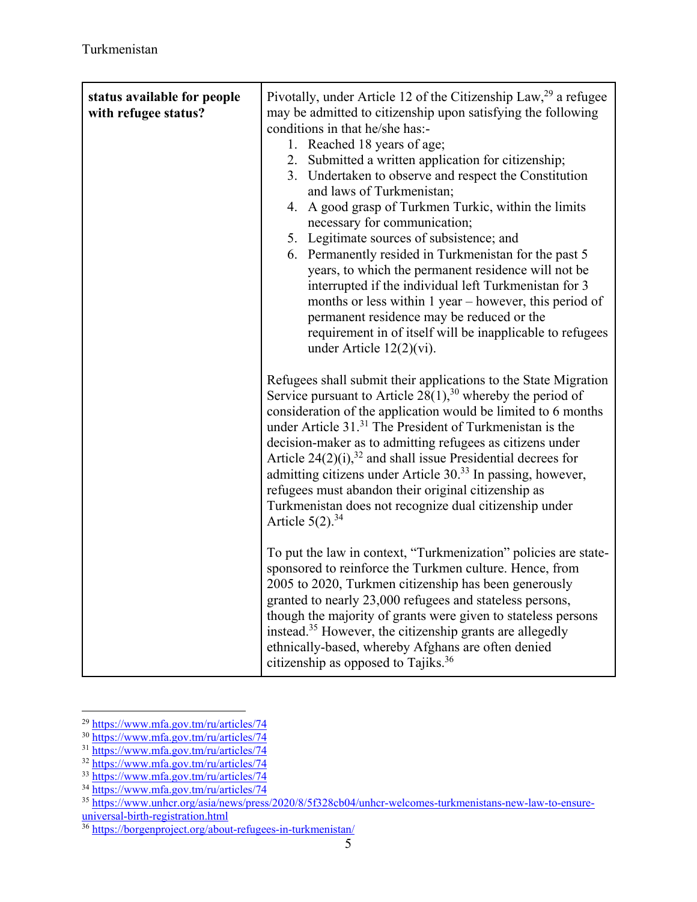| status available for people<br>with refugee status? | Pivotally, under Article 12 of the Citizenship Law, <sup>29</sup> a refugee<br>may be admitted to citizenship upon satisfying the following<br>conditions in that he/she has:-<br>1. Reached 18 years of age;<br>2. Submitted a written application for citizenship;<br>3. Undertaken to observe and respect the Constitution<br>and laws of Turkmenistan;<br>4. A good grasp of Turkmen Turkic, within the limits<br>necessary for communication;<br>5. Legitimate sources of subsistence; and<br>6. Permanently resided in Turkmenistan for the past 5<br>years, to which the permanent residence will not be<br>interrupted if the individual left Turkmenistan for 3<br>months or less within 1 year – however, this period of<br>permanent residence may be reduced or the<br>requirement in of itself will be inapplicable to refugees<br>under Article $12(2)(vi)$ . |
|-----------------------------------------------------|-----------------------------------------------------------------------------------------------------------------------------------------------------------------------------------------------------------------------------------------------------------------------------------------------------------------------------------------------------------------------------------------------------------------------------------------------------------------------------------------------------------------------------------------------------------------------------------------------------------------------------------------------------------------------------------------------------------------------------------------------------------------------------------------------------------------------------------------------------------------------------|
|                                                     | Refugees shall submit their applications to the State Migration<br>Service pursuant to Article $28(1)$ , <sup>30</sup> whereby the period of<br>consideration of the application would be limited to 6 months<br>under Article 31. <sup>31</sup> The President of Turkmenistan is the<br>decision-maker as to admitting refugees as citizens under<br>Article $24(2)(i)$ , <sup>32</sup> and shall issue Presidential decrees for<br>admitting citizens under Article 30. <sup>33</sup> In passing, however,<br>refugees must abandon their original citizenship as<br>Turkmenistan does not recognize dual citizenship under<br>Article $5(2).^{34}$                                                                                                                                                                                                                       |
|                                                     | To put the law in context, "Turkmenization" policies are state-<br>sponsored to reinforce the Turkmen culture. Hence, from<br>2005 to 2020, Turkmen citizenship has been generously<br>granted to nearly 23,000 refugees and stateless persons,<br>though the majority of grants were given to stateless persons<br>instead. <sup>35</sup> However, the citizenship grants are allegedly<br>ethnically-based, whereby Afghans are often denied<br>citizenship as opposed to Tajiks. $36$                                                                                                                                                                                                                                                                                                                                                                                    |

 $\overline{a}$ <sup>29</sup> https://www.mfa.gov.tm/ru/articles/74

<sup>&</sup>lt;sup>30</sup> https://www.mfa.gov.tm/ru/articles/74

<sup>31</sup> https://www.mfa.gov.tm/ru/articles/74

<sup>32</sup> https://www.mfa.gov.tm/ru/articles/74

<sup>&</sup>lt;sup>33</sup> https://www.mfa.gov.tm/ru/articles/74

<sup>&</sup>lt;sup>34</sup> https://www.mfa.gov.tm/ru/articles/74

<sup>&</sup>lt;sup>35</sup> https://www.unhcr.org/asia/news/press/2020/8/5f328cb04/unhcr-welcomes-turkmenistans-new-law-to-ensureuniversal-birth-registration.html

<sup>36</sup> https://borgenproject.org/about-refugees-in-turkmenistan/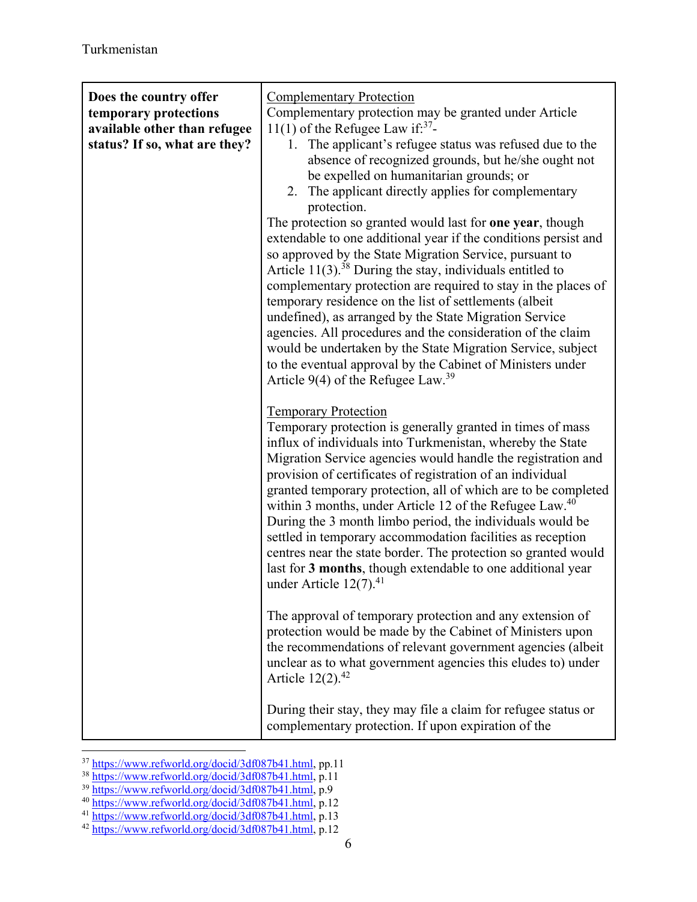| Does the country offer<br>temporary protections<br>available other than refugee<br>status? If so, what are they? | <b>Complementary Protection</b><br>Complementary protection may be granted under Article<br>11(1) of the Refugee Law if: $37$ -<br>1. The applicant's refugee status was refused due to the<br>absence of recognized grounds, but he/she ought not<br>be expelled on humanitarian grounds; or<br>2. The applicant directly applies for complementary<br>protection.<br>The protection so granted would last for one year, though<br>extendable to one additional year if the conditions persist and<br>so approved by the State Migration Service, pursuant to<br>Article $11(3)$ . <sup>38</sup> During the stay, individuals entitled to<br>complementary protection are required to stay in the places of<br>temporary residence on the list of settlements (albeit<br>undefined), as arranged by the State Migration Service<br>agencies. All procedures and the consideration of the claim<br>would be undertaken by the State Migration Service, subject<br>to the eventual approval by the Cabinet of Ministers under<br>Article 9(4) of the Refugee Law. <sup>39</sup> |
|------------------------------------------------------------------------------------------------------------------|--------------------------------------------------------------------------------------------------------------------------------------------------------------------------------------------------------------------------------------------------------------------------------------------------------------------------------------------------------------------------------------------------------------------------------------------------------------------------------------------------------------------------------------------------------------------------------------------------------------------------------------------------------------------------------------------------------------------------------------------------------------------------------------------------------------------------------------------------------------------------------------------------------------------------------------------------------------------------------------------------------------------------------------------------------------------------------|
|                                                                                                                  | <b>Temporary Protection</b><br>Temporary protection is generally granted in times of mass<br>influx of individuals into Turkmenistan, whereby the State<br>Migration Service agencies would handle the registration and<br>provision of certificates of registration of an individual<br>granted temporary protection, all of which are to be completed<br>within 3 months, under Article 12 of the Refugee Law. <sup>40</sup><br>During the 3 month limbo period, the individuals would be<br>settled in temporary accommodation facilities as reception<br>centres near the state border. The protection so granted would<br>last for 3 months, though extendable to one additional year<br>under Article $12(7).41$<br>The approval of temporary protection and any extension of<br>protection would be made by the Cabinet of Ministers upon                                                                                                                                                                                                                               |
|                                                                                                                  | the recommendations of relevant government agencies (albeit<br>unclear as to what government agencies this eludes to) under<br>Article $12(2).^{42}$                                                                                                                                                                                                                                                                                                                                                                                                                                                                                                                                                                                                                                                                                                                                                                                                                                                                                                                           |
|                                                                                                                  | During their stay, they may file a claim for refugee status or<br>complementary protection. If upon expiration of the                                                                                                                                                                                                                                                                                                                                                                                                                                                                                                                                                                                                                                                                                                                                                                                                                                                                                                                                                          |

 $\overline{a}$ 

<sup>&</sup>lt;sup>37</sup> https://www.refworld.org/docid/3df087b41.html, pp.11<br><sup>38</sup> https://www.refworld.org/docid/3df087b41.html, p.11<br><sup>39</sup> https://www.refworld.org/docid/3df087b41.html, p.9<br><sup>40</sup> https://www.refworld.org/docid/3df087b41.html,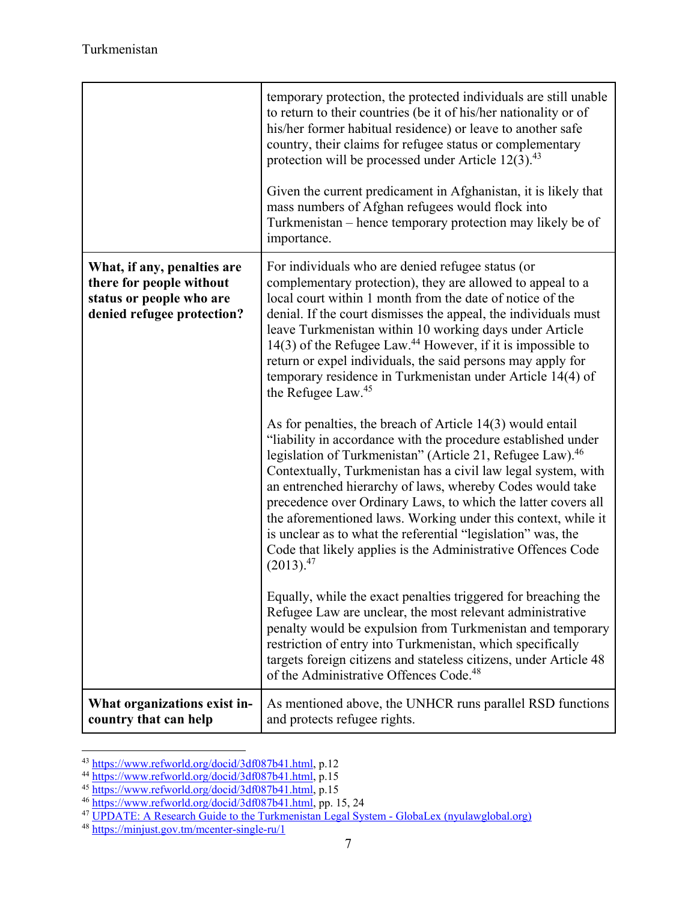|                                                                                                                   | temporary protection, the protected individuals are still unable<br>to return to their countries (be it of his/her nationality or of<br>his/her former habitual residence) or leave to another safe<br>country, their claims for refugee status or complementary<br>protection will be processed under Article $12(3).^{43}$<br>Given the current predicament in Afghanistan, it is likely that<br>mass numbers of Afghan refugees would flock into<br>Turkmenistan - hence temporary protection may likely be of<br>importance.                                                                                                                                                                                                                                                                                                                                                                                                                                                                                                                                                                                                                                                                                                                                                                                                                                                                                                                                                                                                                                       |
|-------------------------------------------------------------------------------------------------------------------|------------------------------------------------------------------------------------------------------------------------------------------------------------------------------------------------------------------------------------------------------------------------------------------------------------------------------------------------------------------------------------------------------------------------------------------------------------------------------------------------------------------------------------------------------------------------------------------------------------------------------------------------------------------------------------------------------------------------------------------------------------------------------------------------------------------------------------------------------------------------------------------------------------------------------------------------------------------------------------------------------------------------------------------------------------------------------------------------------------------------------------------------------------------------------------------------------------------------------------------------------------------------------------------------------------------------------------------------------------------------------------------------------------------------------------------------------------------------------------------------------------------------------------------------------------------------|
| What, if any, penalties are<br>there for people without<br>status or people who are<br>denied refugee protection? | For individuals who are denied refugee status (or<br>complementary protection), they are allowed to appeal to a<br>local court within 1 month from the date of notice of the<br>denial. If the court dismisses the appeal, the individuals must<br>leave Turkmenistan within 10 working days under Article<br>14(3) of the Refugee Law. <sup>44</sup> However, if it is impossible to<br>return or expel individuals, the said persons may apply for<br>temporary residence in Turkmenistan under Article 14(4) of<br>the Refugee Law. <sup>45</sup><br>As for penalties, the breach of Article $14(3)$ would entail<br>"liability in accordance with the procedure established under<br>legislation of Turkmenistan" (Article 21, Refugee Law). <sup>46</sup><br>Contextually, Turkmenistan has a civil law legal system, with<br>an entrenched hierarchy of laws, whereby Codes would take<br>precedence over Ordinary Laws, to which the latter covers all<br>the aforementioned laws. Working under this context, while it<br>is unclear as to what the referential "legislation" was, the<br>Code that likely applies is the Administrative Offences Code<br>$(2013).^{47}$<br>Equally, while the exact penalties triggered for breaching the<br>Refugee Law are unclear, the most relevant administrative<br>penalty would be expulsion from Turkmenistan and temporary<br>restriction of entry into Turkmenistan, which specifically<br>targets foreign citizens and stateless citizens, under Article 48<br>of the Administrative Offences Code. <sup>48</sup> |
| What organizations exist in-<br>country that can help                                                             | As mentioned above, the UNHCR runs parallel RSD functions<br>and protects refugee rights.                                                                                                                                                                                                                                                                                                                                                                                                                                                                                                                                                                                                                                                                                                                                                                                                                                                                                                                                                                                                                                                                                                                                                                                                                                                                                                                                                                                                                                                                              |

 $\overline{a}$ 

<sup>&</sup>lt;sup>43</sup> https://www.refworld.org/docid/3df087b41.html, p.12<br><sup>44</sup> https://www.refworld.org/docid/3df087b41.html, p.15<br><sup>45</sup> https://www.refworld.org/docid/3df087b41.html, p.15<br><sup>46</sup> https://www.refworld.org/docid/3df087b41.html,

<sup>48</sup> https://minjust.gov.tm/mcenter-single-ru/1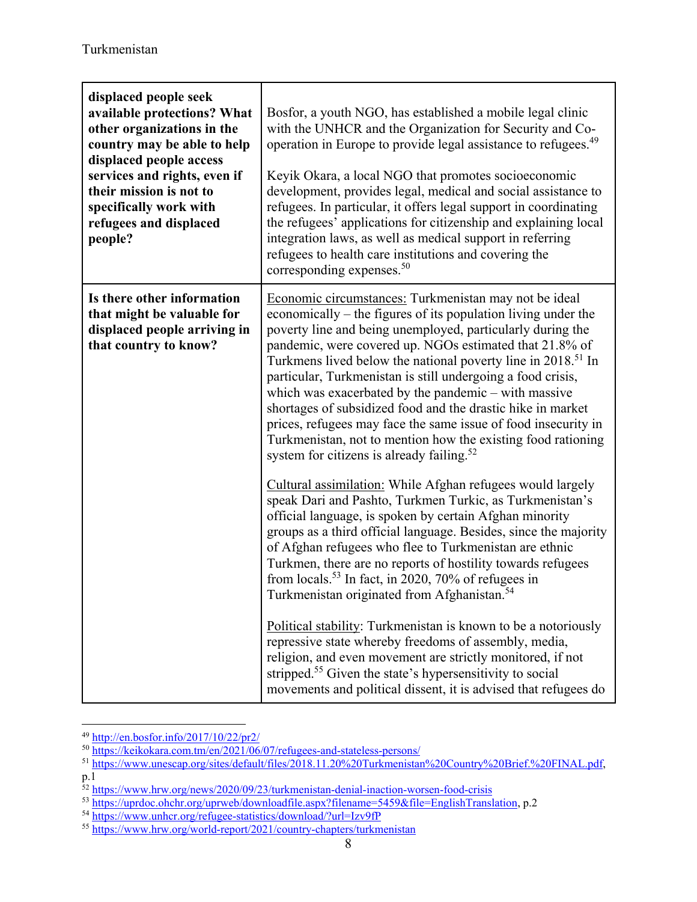| displaced people seek<br>available protections? What<br>other organizations in the<br>country may be able to help<br>displaced people access<br>services and rights, even if<br>their mission is not to<br>specifically work with<br>refugees and displaced<br>people? | Bosfor, a youth NGO, has established a mobile legal clinic<br>with the UNHCR and the Organization for Security and Co-<br>operation in Europe to provide legal assistance to refugees. <sup>49</sup><br>Keyik Okara, a local NGO that promotes socioeconomic<br>development, provides legal, medical and social assistance to<br>refugees. In particular, it offers legal support in coordinating<br>the refugees' applications for citizenship and explaining local<br>integration laws, as well as medical support in referring<br>refugees to health care institutions and covering the<br>corresponding expenses. $50$                                                                                     |
|------------------------------------------------------------------------------------------------------------------------------------------------------------------------------------------------------------------------------------------------------------------------|----------------------------------------------------------------------------------------------------------------------------------------------------------------------------------------------------------------------------------------------------------------------------------------------------------------------------------------------------------------------------------------------------------------------------------------------------------------------------------------------------------------------------------------------------------------------------------------------------------------------------------------------------------------------------------------------------------------|
| Is there other information<br>that might be valuable for<br>displaced people arriving in<br>that country to know?                                                                                                                                                      | Economic circumstances: Turkmenistan may not be ideal<br>economically – the figures of its population living under the<br>poverty line and being unemployed, particularly during the<br>pandemic, were covered up. NGOs estimated that 21.8% of<br>Turkmens lived below the national poverty line in 2018. <sup>51</sup> In<br>particular, Turkmenistan is still undergoing a food crisis,<br>which was exacerbated by the pandemic $-$ with massive<br>shortages of subsidized food and the drastic hike in market<br>prices, refugees may face the same issue of food insecurity in<br>Turkmenistan, not to mention how the existing food rationing<br>system for citizens is already failing. <sup>52</sup> |
|                                                                                                                                                                                                                                                                        | Cultural assimilation: While Afghan refugees would largely<br>speak Dari and Pashto, Turkmen Turkic, as Turkmenistan's<br>official language, is spoken by certain Afghan minority<br>groups as a third official language. Besides, since the majority<br>of Afghan refugees who flee to Turkmenistan are ethnic<br>Turkmen, there are no reports of hostility towards refugees<br>from locals. <sup>53</sup> In fact, in 2020, 70% of refugees in<br>Turkmenistan originated from Afghanistan. <sup>54</sup>                                                                                                                                                                                                   |
|                                                                                                                                                                                                                                                                        | Political stability: Turkmenistan is known to be a notoriously<br>repressive state whereby freedoms of assembly, media,<br>religion, and even movement are strictly monitored, if not<br>stripped. <sup>55</sup> Given the state's hypersensitivity to social<br>movements and political dissent, it is advised that refugees do                                                                                                                                                                                                                                                                                                                                                                               |

 $\overline{a}$ 49 http://en.bosfor.info/2017/10/22/pr2/

<sup>50</sup> https://keikokara.com.tm/en/2021/06/07/refugees-and-stateless-persons/

<sup>51</sup> https://www.unescap.org/sites/default/files/2018.11.20%20Turkmenistan%20Country%20Brief.%20FINAL.pdf, p.1

<sup>52</sup> https://www.hrw.org/news/2020/09/23/turkmenistan-denial-inaction-worsen-food-crisis

<sup>&</sup>lt;sup>53</sup> https://wprdoc.ohchr.org/uprweb/downloadfile.aspx?filename=5459&file=EnglishTranslation, p.2<br><sup>54</sup> https://www.unhcr.org/refugee-statistics/download/?url=Izv9fP<br><sup>55</sup> https://www.hrw.org/world-report/2021/country-chapte